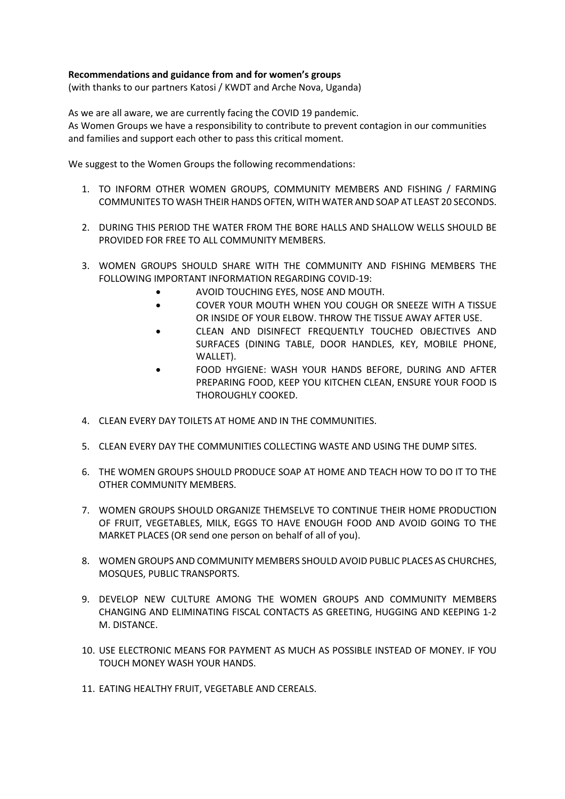## **Recommendations and guidance from and for women's groups**

(with thanks to our partners Katosi / KWDT and Arche Nova, Uganda)

As we are all aware, we are currently facing the COVID 19 pandemic. As Women Groups we have a responsibility to contribute to prevent contagion in our communities and families and support each other to pass this critical moment.

We suggest to the Women Groups the following recommendations:

- 1. TO INFORM OTHER WOMEN GROUPS, COMMUNITY MEMBERS AND FISHING / FARMING COMMUNITES TO WASH THEIR HANDS OFTEN, WITH WATER AND SOAP AT LEAST 20 SECONDS.
- 2. DURING THIS PERIOD THE WATER FROM THE BORE HALLS AND SHALLOW WELLS SHOULD BE PROVIDED FOR FREE TO ALL COMMUNITY MEMBERS.
- 3. WOMEN GROUPS SHOULD SHARE WITH THE COMMUNITY AND FISHING MEMBERS THE FOLLOWING IMPORTANT INFORMATION REGARDING COVID-19:
	- AVOID TOUCHING EYES, NOSE AND MOUTH.
	- COVER YOUR MOUTH WHEN YOU COUGH OR SNEEZE WITH A TISSUE OR INSIDE OF YOUR ELBOW. THROW THE TISSUE AWAY AFTER USE.
	- CLEAN AND DISINFECT FREQUENTLY TOUCHED OBJECTIVES AND SURFACES (DINING TABLE, DOOR HANDLES, KEY, MOBILE PHONE, WALLET).
	- FOOD HYGIENE: WASH YOUR HANDS BEFORE, DURING AND AFTER PREPARING FOOD, KEEP YOU KITCHEN CLEAN, ENSURE YOUR FOOD IS THOROUGHLY COOKED.
- 4. CLEAN EVERY DAY TOILETS AT HOME AND IN THE COMMUNITIES.
- 5. CLEAN EVERY DAY THE COMMUNITIES COLLECTING WASTE AND USING THE DUMP SITES.
- 6. THE WOMEN GROUPS SHOULD PRODUCE SOAP AT HOME AND TEACH HOW TO DO IT TO THE OTHER COMMUNITY MEMBERS.
- 7. WOMEN GROUPS SHOULD ORGANIZE THEMSELVE TO CONTINUE THEIR HOME PRODUCTION OF FRUIT, VEGETABLES, MILK, EGGS TO HAVE ENOUGH FOOD AND AVOID GOING TO THE MARKET PLACES (OR send one person on behalf of all of you).
- 8. WOMEN GROUPS AND COMMUNITY MEMBERS SHOULD AVOID PUBLIC PLACES AS CHURCHES, MOSQUES, PUBLIC TRANSPORTS.
- 9. DEVELOP NEW CULTURE AMONG THE WOMEN GROUPS AND COMMUNITY MEMBERS CHANGING AND ELIMINATING FISCAL CONTACTS AS GREETING, HUGGING AND KEEPING 1-2 M. DISTANCE.
- 10. USE ELECTRONIC MEANS FOR PAYMENT AS MUCH AS POSSIBLE INSTEAD OF MONEY. IF YOU TOUCH MONEY WASH YOUR HANDS.
- 11. EATING HEALTHY FRUIT, VEGETABLE AND CEREALS.